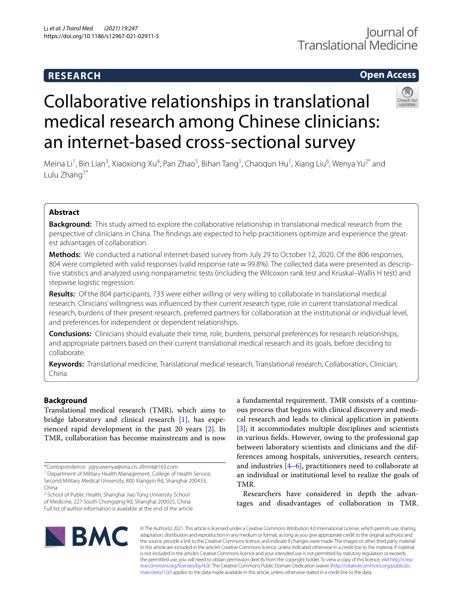## **RESEARCH**

# Journal of Translational Medicine

## **Open Access**

# Collaborative relationships in translational medical research among Chinese clinicians: an internet-based cross-sectional survey

Meina Li<sup>1</sup>, Bin Lian<sup>3</sup>, Xiaoxiong Xu<sup>4</sup>, Pan Zhao<sup>5</sup>, Bihan Tang<sup>1</sup>, Chaoqun Hu<sup>1</sup>, Xiang Liu<sup>6</sup>, Wenya Yu<sup>2\*</sup> and Lulu Zhang<sup>1\*</sup>

## **Abstract**

**Background:** This study aimed to explore the collaborative relationship in translational medical research from the perspective of clinicians in China. The fndings are expected to help practitioners optimize and experience the greatest advantages of collaboration.

**Methods:** We conducted a national internet-based survey from July 29 to October 12, 2020. Of the 806 responses, 804 were completed with valid responses (valid response rate = 99.8%). The collected data were presented as descriptive statistics and analyzed using nonparametric tests (including the Wilcoxon rank test and Kruskal–Wallis H test) and stepwise logistic regression.

**Results:** Of the 804 participants, 733 were either willing or very willing to collaborate in translational medical research. Clinicians' willingness was infuenced by their current research type, role in current translational medical research, burdens of their present research, preferred partners for collaboration at the institutional or individual level, and preferences for independent or dependent relationships.

**Conclusions:** Clinicians should evaluate their time, role, burdens, personal preferences for research relationships, and appropriate partners based on their current translational medical research and its goals, before deciding to collaborate.

**Keywords:** Translational medicine, Translational medical research, Translational research, Collaboration, Clinician, China

## **Background**

Translational medical research (TMR), which aims to bridge laboratory and clinical research [\[1](#page-14-0)], has experienced rapid development in the past 20 years [\[2](#page-14-1)]. In TMR, collaboration has become mainstream and is now

<sup>2</sup> School of Public Health, Shanghai Jiao Tong University School of Medicine, 227 South Chongqing Rd, Shanghai 200025, China Full list of author information is available at the end of the article a fundamental requirement. TMR consists of a continuous process that begins with clinical discovery and medical research and leads to clinical application in patients [[3\]](#page-14-2); it accommodates multiple disciplines and scientists in various felds. However, owing to the professional gap between laboratory scientists and clinicians and the differences among hospitals, universities, research centers, and industries [\[4](#page-14-3)[–6](#page-14-4)], practitioners need to collaborate at an individual or institutional level to realize the goals of TMR.

Researchers have considered in depth the advantages and disadvantages of collaboration in TMR.



© The Author(s) 2021. This article is licensed under a Creative Commons Attribution 4.0 International License, which permits use, sharing, adaptation, distribution and reproduction in any medium or format, as long as you give appropriate credit to the original author(s) and the source, provide a link to the Creative Commons licence, and indicate if changes were made. The images or other third party material in this article are included in the article's Creative Commons licence, unless indicated otherwise in a credit line to the material. If material is not included in the article's Creative Commons licence and your intended use is not permitted by statutory regulation or exceeds the permitted use, you will need to obtain permission directly from the copyright holder. To view a copy of this licence, visit [http://crea](http://creativecommons.org/licenses/by/4.0/)[tivecommons.org/licenses/by/4.0/.](http://creativecommons.org/licenses/by/4.0/) The Creative Commons Public Domain Dedication waiver ([http://creativecommons.org/publicdo](http://creativecommons.org/publicdomain/zero/1.0/)[main/zero/1.0/\)](http://creativecommons.org/publicdomain/zero/1.0/) applies to the data made available in this article, unless otherwise stated in a credit line to the data.

<sup>\*</sup>Correspondence: jsjyyuwenya@sina.cn; zllrmit@163.com

<sup>&</sup>lt;sup>1</sup> Department of Military Health Management, College of Health Service, Second Military Medical University, 800 Xiangyin Rd, Shanghai 200433, China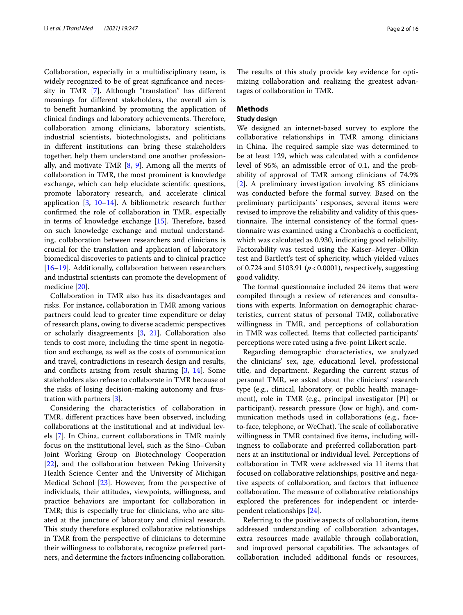Collaboration, especially in a multidisciplinary team, is widely recognized to be of great signifcance and necessity in TMR [\[7](#page-14-5)]. Although "translation" has diferent meanings for diferent stakeholders, the overall aim is to beneft humankind by promoting the application of clinical findings and laboratory achievements. Therefore, collaboration among clinicians, laboratory scientists, industrial scientists, biotechnologists, and politicians in diferent institutions can bring these stakeholders together, help them understand one another professionally, and motivate TMR  $[8, 9]$  $[8, 9]$  $[8, 9]$  $[8, 9]$ . Among all the merits of collaboration in TMR, the most prominent is knowledge exchange, which can help elucidate scientifc questions, promote laboratory research, and accelerate clinical application  $[3, 10-14]$  $[3, 10-14]$  $[3, 10-14]$  $[3, 10-14]$  $[3, 10-14]$ . A bibliometric research further confrmed the role of collaboration in TMR, especially in terms of knowledge exchange  $[15]$  $[15]$ . Therefore, based on such knowledge exchange and mutual understanding, collaboration between researchers and clinicians is crucial for the translation and application of laboratory biomedical discoveries to patients and to clinical practice [[16–](#page-15-1)[19](#page-15-2)]. Additionally, collaboration between researchers and industrial scientists can promote the development of medicine [[20\]](#page-15-3).

Collaboration in TMR also has its disadvantages and risks. For instance, collaboration in TMR among various partners could lead to greater time expenditure or delay of research plans, owing to diverse academic perspectives or scholarly disagreements [[3,](#page-14-2) [21](#page-15-4)]. Collaboration also tends to cost more, including the time spent in negotiation and exchange, as well as the costs of communication and travel, contradictions in research design and results, and conficts arising from result sharing [[3](#page-14-2), [14\]](#page-14-9). Some stakeholders also refuse to collaborate in TMR because of the risks of losing decision-making autonomy and frustration with partners [\[3](#page-14-2)].

Considering the characteristics of collaboration in TMR, diferent practices have been observed, including collaborations at the institutional and at individual levels [\[7](#page-14-5)]. In China, current collaborations in TMR mainly focus on the institutional level, such as the Sino–Cuban Joint Working Group on Biotechnology Cooperation [[22\]](#page-15-5), and the collaboration between Peking University Health Science Center and the University of Michigan Medical School [[23\]](#page-15-6). However, from the perspective of individuals, their attitudes, viewpoints, willingness, and practice behaviors are important for collaboration in TMR; this is especially true for clinicians, who are situated at the juncture of laboratory and clinical research. This study therefore explored collaborative relationships in TMR from the perspective of clinicians to determine their willingness to collaborate, recognize preferred partners, and determine the factors infuencing collaboration.

The results of this study provide key evidence for optimizing collaboration and realizing the greatest advantages of collaboration in TMR.

### **Methods**

#### **Study design**

We designed an internet-based survey to explore the collaborative relationships in TMR among clinicians in China. The required sample size was determined to be at least 129, which was calculated with a confdence level of 95%, an admissible error of 0.1, and the probability of approval of TMR among clinicians of 74.9% [[2\]](#page-14-1). A preliminary investigation involving 85 clinicians was conducted before the formal survey. Based on the preliminary participants' responses, several items were revised to improve the reliability and validity of this questionnaire. The internal consistency of the formal questionnaire was examined using a Cronbach's α coefficient, which was calculated as 0.930, indicating good reliability. Factorability was tested using the Kaiser–Meyer–Olkin test and Bartlett's test of sphericity, which yielded values of 0.724 and 5103.91 ( $p < 0.0001$ ), respectively, suggesting good validity.

The formal questionnaire included 24 items that were compiled through a review of references and consultations with experts. Information on demographic characteristics, current status of personal TMR, collaborative willingness in TMR, and perceptions of collaboration in TMR was collected. Items that collected participants' perceptions were rated using a fve-point Likert scale.

Regarding demographic characteristics, we analyzed the clinicians' sex, age, educational level, professional title, and department. Regarding the current status of personal TMR, we asked about the clinicians' research type (e.g., clinical, laboratory, or public health management), role in TMR (e.g., principal investigator [PI] or participant), research pressure (low or high), and communication methods used in collaborations (e.g., faceto-face, telephone, or WeChat). The scale of collaborative willingness in TMR contained fve items, including willingness to collaborate and preferred collaboration partners at an institutional or individual level. Perceptions of collaboration in TMR were addressed via 11 items that focused on collaborative relationships, positive and negative aspects of collaboration, and factors that infuence collaboration. The measure of collaborative relationships explored the preferences for independent or interdependent relationships [[24](#page-15-7)].

Referring to the positive aspects of collaboration, items addressed understanding of collaboration advantages, extra resources made available through collaboration, and improved personal capabilities. The advantages of collaboration included additional funds or resources,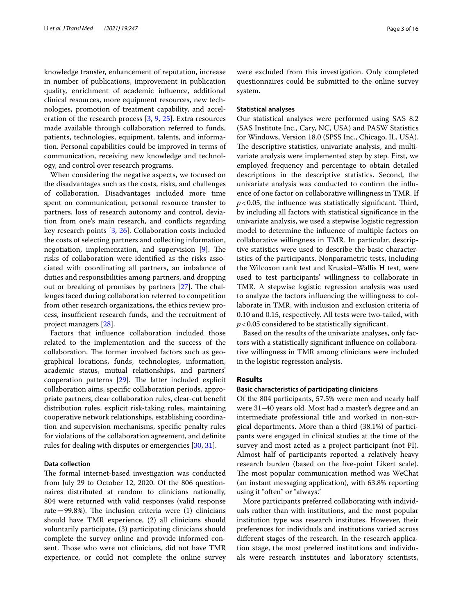knowledge transfer, enhancement of reputation, increase in number of publications, improvement in publication quality, enrichment of academic infuence, additional clinical resources, more equipment resources, new technologies, promotion of treatment capability, and acceleration of the research process [\[3](#page-14-2), [9](#page-14-7), [25\]](#page-15-8). Extra resources made available through collaboration referred to funds, patients, technologies, equipment, talents, and information. Personal capabilities could be improved in terms of communication, receiving new knowledge and technology, and control over research programs.

When considering the negative aspects, we focused on the disadvantages such as the costs, risks, and challenges of collaboration. Disadvantages included more time spent on communication, personal resource transfer to partners, loss of research autonomy and control, deviation from one's main research, and conficts regarding key research points [\[3](#page-14-2), [26](#page-15-9)]. Collaboration costs included the costs of selecting partners and collecting information, negotiation, implementation, and supervision  $[9]$  $[9]$ . The risks of collaboration were identifed as the risks associated with coordinating all partners, an imbalance of duties and responsibilities among partners, and dropping out or breaking of promises by partners  $[27]$  $[27]$ . The challenges faced during collaboration referred to competition from other research organizations, the ethics review process, insufficient research funds, and the recruitment of project managers [[28\]](#page-15-11).

Factors that infuence collaboration included those related to the implementation and the success of the collaboration. The former involved factors such as geographical locations, funds, technologies, information, academic status, mutual relationships, and partners' cooperation patterns  $[29]$  $[29]$ . The latter included explicit collaboration aims, specifc collaboration periods, appropriate partners, clear collaboration rules, clear-cut beneft distribution rules, explicit risk-taking rules, maintaining cooperative network relationships, establishing coordination and supervision mechanisms, specifc penalty rules for violations of the collaboration agreement, and defnite rules for dealing with disputes or emergencies [\[30](#page-15-13), [31\]](#page-15-14).

#### **Data collection**

The formal internet-based investigation was conducted from July 29 to October 12, 2020. Of the 806 questionnaires distributed at random to clinicians nationally, 804 were returned with valid responses (valid response rate=99.8%). The inclusion criteria were  $(1)$  clinicians should have TMR experience, (2) all clinicians should voluntarily participate, (3) participating clinicians should complete the survey online and provide informed consent. Those who were not clinicians, did not have TMR experience, or could not complete the online survey were excluded from this investigation. Only completed questionnaires could be submitted to the online survey system.

#### **Statistical analyses**

Our statistical analyses were performed using SAS 8.2 (SAS Institute Inc., Cary, NC, USA) and PASW Statistics for Windows, Version 18.0 (SPSS Inc., Chicago, IL, USA). The descriptive statistics, univariate analysis, and multivariate analysis were implemented step by step. First, we employed frequency and percentage to obtain detailed descriptions in the descriptive statistics. Second, the univariate analysis was conducted to confrm the infuence of one factor on collaborative willingness in TMR. If  $p$ <0.05, the influence was statistically significant. Third, by including all factors with statistical signifcance in the univariate analysis, we used a stepwise logistic regression model to determine the infuence of multiple factors on collaborative willingness in TMR. In particular, descriptive statistics were used to describe the basic characteristics of the participants. Nonparametric tests, including the Wilcoxon rank test and Kruskal–Wallis H test, were used to test participants' willingness to collaborate in TMR. A stepwise logistic regression analysis was used to analyze the factors infuencing the willingness to collaborate in TMR, with inclusion and exclusion criteria of 0.10 and 0.15, respectively. All tests were two-tailed, with  $p$  < 0.05 considered to be statistically significant.

Based on the results of the univariate analyses, only factors with a statistically signifcant infuence on collaborative willingness in TMR among clinicians were included in the logistic regression analysis.

#### **Results**

#### **Basic characteristics of participating clinicians**

Of the 804 participants, 57.5% were men and nearly half were 31–40 years old. Most had a master's degree and an intermediate professional title and worked in non-surgical departments. More than a third (38.1%) of participants were engaged in clinical studies at the time of the survey and most acted as a project participant (not PI). Almost half of participants reported a relatively heavy research burden (based on the fve-point Likert scale). The most popular communication method was WeChat (an instant messaging application), with 63.8% reporting using it "often" or "always."

More participants preferred collaborating with individuals rather than with institutions, and the most popular institution type was research institutes. However, their preferences for individuals and institutions varied across diferent stages of the research. In the research application stage, the most preferred institutions and individuals were research institutes and laboratory scientists,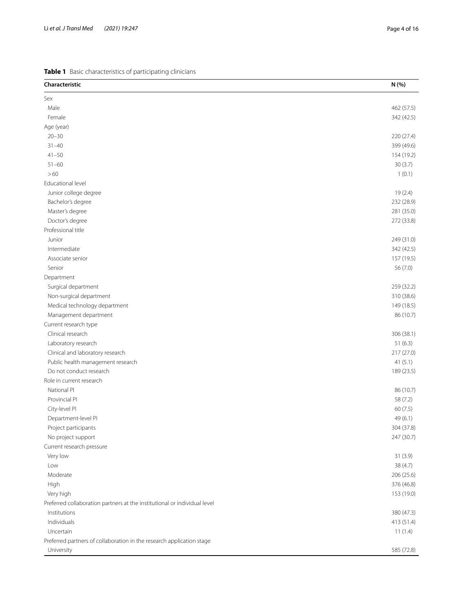<span id="page-3-0"></span>

| Characteristic                                                            | N (%)      |
|---------------------------------------------------------------------------|------------|
| Sex                                                                       |            |
| Male                                                                      | 462 (57.5) |
| Female                                                                    | 342 (42.5) |
| Age (year)                                                                |            |
| $20 - 30$                                                                 | 220 (27.4) |
| $31 - 40$                                                                 | 399 (49.6) |
| $41 - 50$                                                                 | 154 (19.2) |
| $51 - 60$                                                                 | 30(3.7)    |
| >60                                                                       | 1(0.1)     |
| Educational level                                                         |            |
| Junior college degree                                                     | 19(2.4)    |
| Bachelor's degree                                                         | 232 (28.9) |
| Master's degree                                                           | 281 (35.0) |
| Doctor's degree                                                           | 272 (33.8) |
| Professional title                                                        |            |
| Junior                                                                    | 249 (31.0) |
| Intermediate                                                              | 342 (42.5) |
| Associate senior                                                          | 157 (19.5) |
| Senior                                                                    | 56 (7.0)   |
| Department                                                                |            |
| Surgical department                                                       | 259 (32.2) |
| Non-surgical department                                                   | 310 (38.6) |
| Medical technology department                                             | 149 (18.5) |
| Management department                                                     | 86 (10.7)  |
| Current research type                                                     |            |
| Clinical research                                                         | 306 (38.1) |
| Laboratory research                                                       | 51(6.3)    |
| Clinical and laboratory research                                          | 217 (27.0) |
| Public health management research                                         | 41(5.1)    |
| Do not conduct research                                                   | 189 (23.5) |
| Role in current research                                                  |            |
| National PI                                                               | 86 (10.7)  |
| Provincial PI                                                             | 58 (7.2)   |
| City-level PI                                                             | 60 (7.5)   |
| Department-level PI                                                       | 49 (6.1)   |
| Project participants                                                      | 304 (37.8) |
| No project support                                                        | 247 (30.7) |
| Current research pressure                                                 |            |
| Very low                                                                  | 31(3.9)    |
| Low                                                                       | 38 (4.7)   |
| Moderate                                                                  | 206 (25.6) |
| High                                                                      | 376 (46.8) |
| Very high                                                                 | 153 (19.0) |
| Preferred collaboration partners at the institutional or individual level |            |
| Institutions                                                              | 380 (47.3) |
| Individuals                                                               | 413 (51.4) |
| Uncertain                                                                 | 11(1.4)    |
| Preferred partners of collaboration in the research application stage     |            |
| University                                                                | 585 (72.8) |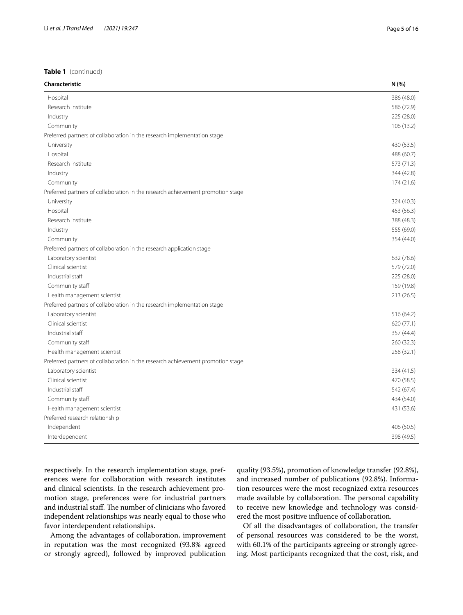| Hospital<br>386 (48.0)<br>Research institute<br>586 (72.9)<br>Industry<br>225 (28.0)<br>Community<br>106(13.2)<br>Preferred partners of collaboration in the research implementation stage<br>430 (53.5)<br>University<br>Hospital<br>488 (60.7)<br>Research institute<br>573 (71.3)<br>Industry<br>344 (42.8)<br>Community<br>174 (21.6)<br>Preferred partners of collaboration in the research achievement promotion stage<br>University<br>324 (40.3)<br>Hospital<br>453 (56.3)<br>Research institute<br>388 (48.3)<br>555 (69.0)<br>Industry<br>354 (44.0)<br>Community<br>Preferred partners of collaboration in the research application stage<br>Laboratory scientist<br>632 (78.6)<br>Clinical scientist<br>579 (72.0)<br>Industrial staff<br>225 (28.0)<br>Community staff<br>159 (19.8)<br>213 (26.5)<br>Health management scientist<br>Preferred partners of collaboration in the research implementation stage<br>Laboratory scientist<br>516 (64.2)<br>Clinical scientist<br>620 (77.1)<br>Industrial staff<br>357 (44.4)<br>Community staff<br>260 (32.3)<br>258 (32.1)<br>Health management scientist<br>Preferred partners of collaboration in the research achievement promotion stage<br>Laboratory scientist<br>334 (41.5)<br>Clinical scientist<br>470 (58.5)<br>Industrial staff<br>542 (67.4)<br>Community staff<br>434 (54.0)<br>Health management scientist<br>431 (53.6)<br>Preferred research relationship<br>Independent<br>406 (50.5)<br>Interdependent<br>398 (49.5) | Characteristic | N(% ) |
|---------------------------------------------------------------------------------------------------------------------------------------------------------------------------------------------------------------------------------------------------------------------------------------------------------------------------------------------------------------------------------------------------------------------------------------------------------------------------------------------------------------------------------------------------------------------------------------------------------------------------------------------------------------------------------------------------------------------------------------------------------------------------------------------------------------------------------------------------------------------------------------------------------------------------------------------------------------------------------------------------------------------------------------------------------------------------------------------------------------------------------------------------------------------------------------------------------------------------------------------------------------------------------------------------------------------------------------------------------------------------------------------------------------------------------------------------------------------------------------------------|----------------|-------|
|                                                                                                                                                                                                                                                                                                                                                                                                                                                                                                                                                                                                                                                                                                                                                                                                                                                                                                                                                                                                                                                                                                                                                                                                                                                                                                                                                                                                                                                                                                   |                |       |
|                                                                                                                                                                                                                                                                                                                                                                                                                                                                                                                                                                                                                                                                                                                                                                                                                                                                                                                                                                                                                                                                                                                                                                                                                                                                                                                                                                                                                                                                                                   |                |       |
|                                                                                                                                                                                                                                                                                                                                                                                                                                                                                                                                                                                                                                                                                                                                                                                                                                                                                                                                                                                                                                                                                                                                                                                                                                                                                                                                                                                                                                                                                                   |                |       |
|                                                                                                                                                                                                                                                                                                                                                                                                                                                                                                                                                                                                                                                                                                                                                                                                                                                                                                                                                                                                                                                                                                                                                                                                                                                                                                                                                                                                                                                                                                   |                |       |
|                                                                                                                                                                                                                                                                                                                                                                                                                                                                                                                                                                                                                                                                                                                                                                                                                                                                                                                                                                                                                                                                                                                                                                                                                                                                                                                                                                                                                                                                                                   |                |       |
|                                                                                                                                                                                                                                                                                                                                                                                                                                                                                                                                                                                                                                                                                                                                                                                                                                                                                                                                                                                                                                                                                                                                                                                                                                                                                                                                                                                                                                                                                                   |                |       |
|                                                                                                                                                                                                                                                                                                                                                                                                                                                                                                                                                                                                                                                                                                                                                                                                                                                                                                                                                                                                                                                                                                                                                                                                                                                                                                                                                                                                                                                                                                   |                |       |
|                                                                                                                                                                                                                                                                                                                                                                                                                                                                                                                                                                                                                                                                                                                                                                                                                                                                                                                                                                                                                                                                                                                                                                                                                                                                                                                                                                                                                                                                                                   |                |       |
|                                                                                                                                                                                                                                                                                                                                                                                                                                                                                                                                                                                                                                                                                                                                                                                                                                                                                                                                                                                                                                                                                                                                                                                                                                                                                                                                                                                                                                                                                                   |                |       |
|                                                                                                                                                                                                                                                                                                                                                                                                                                                                                                                                                                                                                                                                                                                                                                                                                                                                                                                                                                                                                                                                                                                                                                                                                                                                                                                                                                                                                                                                                                   |                |       |
|                                                                                                                                                                                                                                                                                                                                                                                                                                                                                                                                                                                                                                                                                                                                                                                                                                                                                                                                                                                                                                                                                                                                                                                                                                                                                                                                                                                                                                                                                                   |                |       |
|                                                                                                                                                                                                                                                                                                                                                                                                                                                                                                                                                                                                                                                                                                                                                                                                                                                                                                                                                                                                                                                                                                                                                                                                                                                                                                                                                                                                                                                                                                   |                |       |
|                                                                                                                                                                                                                                                                                                                                                                                                                                                                                                                                                                                                                                                                                                                                                                                                                                                                                                                                                                                                                                                                                                                                                                                                                                                                                                                                                                                                                                                                                                   |                |       |
|                                                                                                                                                                                                                                                                                                                                                                                                                                                                                                                                                                                                                                                                                                                                                                                                                                                                                                                                                                                                                                                                                                                                                                                                                                                                                                                                                                                                                                                                                                   |                |       |
|                                                                                                                                                                                                                                                                                                                                                                                                                                                                                                                                                                                                                                                                                                                                                                                                                                                                                                                                                                                                                                                                                                                                                                                                                                                                                                                                                                                                                                                                                                   |                |       |
|                                                                                                                                                                                                                                                                                                                                                                                                                                                                                                                                                                                                                                                                                                                                                                                                                                                                                                                                                                                                                                                                                                                                                                                                                                                                                                                                                                                                                                                                                                   |                |       |
|                                                                                                                                                                                                                                                                                                                                                                                                                                                                                                                                                                                                                                                                                                                                                                                                                                                                                                                                                                                                                                                                                                                                                                                                                                                                                                                                                                                                                                                                                                   |                |       |
|                                                                                                                                                                                                                                                                                                                                                                                                                                                                                                                                                                                                                                                                                                                                                                                                                                                                                                                                                                                                                                                                                                                                                                                                                                                                                                                                                                                                                                                                                                   |                |       |
|                                                                                                                                                                                                                                                                                                                                                                                                                                                                                                                                                                                                                                                                                                                                                                                                                                                                                                                                                                                                                                                                                                                                                                                                                                                                                                                                                                                                                                                                                                   |                |       |
|                                                                                                                                                                                                                                                                                                                                                                                                                                                                                                                                                                                                                                                                                                                                                                                                                                                                                                                                                                                                                                                                                                                                                                                                                                                                                                                                                                                                                                                                                                   |                |       |
|                                                                                                                                                                                                                                                                                                                                                                                                                                                                                                                                                                                                                                                                                                                                                                                                                                                                                                                                                                                                                                                                                                                                                                                                                                                                                                                                                                                                                                                                                                   |                |       |
|                                                                                                                                                                                                                                                                                                                                                                                                                                                                                                                                                                                                                                                                                                                                                                                                                                                                                                                                                                                                                                                                                                                                                                                                                                                                                                                                                                                                                                                                                                   |                |       |
|                                                                                                                                                                                                                                                                                                                                                                                                                                                                                                                                                                                                                                                                                                                                                                                                                                                                                                                                                                                                                                                                                                                                                                                                                                                                                                                                                                                                                                                                                                   |                |       |
|                                                                                                                                                                                                                                                                                                                                                                                                                                                                                                                                                                                                                                                                                                                                                                                                                                                                                                                                                                                                                                                                                                                                                                                                                                                                                                                                                                                                                                                                                                   |                |       |
|                                                                                                                                                                                                                                                                                                                                                                                                                                                                                                                                                                                                                                                                                                                                                                                                                                                                                                                                                                                                                                                                                                                                                                                                                                                                                                                                                                                                                                                                                                   |                |       |
|                                                                                                                                                                                                                                                                                                                                                                                                                                                                                                                                                                                                                                                                                                                                                                                                                                                                                                                                                                                                                                                                                                                                                                                                                                                                                                                                                                                                                                                                                                   |                |       |
|                                                                                                                                                                                                                                                                                                                                                                                                                                                                                                                                                                                                                                                                                                                                                                                                                                                                                                                                                                                                                                                                                                                                                                                                                                                                                                                                                                                                                                                                                                   |                |       |
|                                                                                                                                                                                                                                                                                                                                                                                                                                                                                                                                                                                                                                                                                                                                                                                                                                                                                                                                                                                                                                                                                                                                                                                                                                                                                                                                                                                                                                                                                                   |                |       |
|                                                                                                                                                                                                                                                                                                                                                                                                                                                                                                                                                                                                                                                                                                                                                                                                                                                                                                                                                                                                                                                                                                                                                                                                                                                                                                                                                                                                                                                                                                   |                |       |
|                                                                                                                                                                                                                                                                                                                                                                                                                                                                                                                                                                                                                                                                                                                                                                                                                                                                                                                                                                                                                                                                                                                                                                                                                                                                                                                                                                                                                                                                                                   |                |       |
|                                                                                                                                                                                                                                                                                                                                                                                                                                                                                                                                                                                                                                                                                                                                                                                                                                                                                                                                                                                                                                                                                                                                                                                                                                                                                                                                                                                                                                                                                                   |                |       |
|                                                                                                                                                                                                                                                                                                                                                                                                                                                                                                                                                                                                                                                                                                                                                                                                                                                                                                                                                                                                                                                                                                                                                                                                                                                                                                                                                                                                                                                                                                   |                |       |
|                                                                                                                                                                                                                                                                                                                                                                                                                                                                                                                                                                                                                                                                                                                                                                                                                                                                                                                                                                                                                                                                                                                                                                                                                                                                                                                                                                                                                                                                                                   |                |       |
|                                                                                                                                                                                                                                                                                                                                                                                                                                                                                                                                                                                                                                                                                                                                                                                                                                                                                                                                                                                                                                                                                                                                                                                                                                                                                                                                                                                                                                                                                                   |                |       |
|                                                                                                                                                                                                                                                                                                                                                                                                                                                                                                                                                                                                                                                                                                                                                                                                                                                                                                                                                                                                                                                                                                                                                                                                                                                                                                                                                                                                                                                                                                   |                |       |
|                                                                                                                                                                                                                                                                                                                                                                                                                                                                                                                                                                                                                                                                                                                                                                                                                                                                                                                                                                                                                                                                                                                                                                                                                                                                                                                                                                                                                                                                                                   |                |       |
|                                                                                                                                                                                                                                                                                                                                                                                                                                                                                                                                                                                                                                                                                                                                                                                                                                                                                                                                                                                                                                                                                                                                                                                                                                                                                                                                                                                                                                                                                                   |                |       |

respectively. In the research implementation stage, preferences were for collaboration with research institutes and clinical scientists. In the research achievement promotion stage, preferences were for industrial partners and industrial staff. The number of clinicians who favored independent relationships was nearly equal to those who favor interdependent relationships.

Among the advantages of collaboration, improvement in reputation was the most recognized (93.8% agreed or strongly agreed), followed by improved publication quality (93.5%), promotion of knowledge transfer (92.8%), and increased number of publications (92.8%). Information resources were the most recognized extra resources made available by collaboration. The personal capability to receive new knowledge and technology was considered the most positive infuence of collaboration.

Of all the disadvantages of collaboration, the transfer of personal resources was considered to be the worst, with 60.1% of the participants agreeing or strongly agreeing. Most participants recognized that the cost, risk, and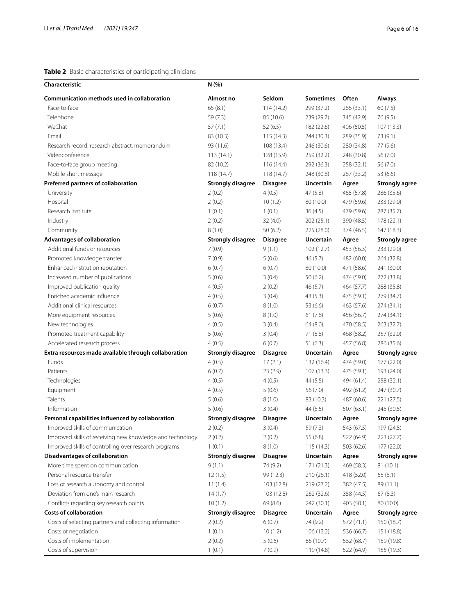## <span id="page-5-0"></span>**Table 2** Basic characteristics of participating clinicians

| Characteristic                                            | N (%)                    |                 |                  |            |                                   |  |  |  |
|-----------------------------------------------------------|--------------------------|-----------------|------------------|------------|-----------------------------------|--|--|--|
| Communication methods used in collaboration               | Almost no                | Seldom          | <b>Sometimes</b> | Often      | Always                            |  |  |  |
| Face-to-face                                              | 65(8.1)                  | 114(14.2)       | 299 (37.2)       | 266 (33.1) | 60(7.5)                           |  |  |  |
| Telephone                                                 | 59 (7.3)                 | 85 (10.6)       | 239 (29.7)       | 345 (42.9) | 76 (9.5)                          |  |  |  |
| WeChat                                                    | 57(7.1)                  | 52(6.5)         | 182 (22.6)       | 406 (50.5) | 107 (13.3)                        |  |  |  |
| Email                                                     | 83 (10.3)                | 115(14.3)       | 244 (30.3)       | 289 (35.9) | 73 (9.1)                          |  |  |  |
| Research record, research abstract, memorandum            | 93 (11.6)                | 108 (13.4)      | 246 (30.6)       | 280 (34.8) | 77 (9.6)                          |  |  |  |
| Videoconference                                           | 113(14.1)                | 128 (15.9)      | 259 (32.2)       | 248 (30.8) | 56(7.0)                           |  |  |  |
| Face-to-face group meeting                                | 82 (10.2)                | 116 (14.4)      | 292 (36.3)       | 258 (32.1) | 56(7.0)                           |  |  |  |
| Mobile short message                                      | 118 (14.7)               | 118(14.7)       | 248 (30.8)       | 267 (33.2) | 53 (6.6)                          |  |  |  |
| Preferred partners of collaboration                       | <b>Strongly disagree</b> | <b>Disagree</b> | Uncertain        | Agree      | <b>Strongly agree</b>             |  |  |  |
| University                                                | 2(0.2)                   | 4(0.5)          | 47(5.8)          | 465 (57.8) | 286 (35.6)                        |  |  |  |
| Hospital                                                  | 2(0.2)                   | 10(1.2)         | 80 (10.0)        | 479 (59.6) | 233 (29.0)                        |  |  |  |
| Research institute                                        | 1(0.1)                   | 1(0.1)          | 36(4.5)          | 479 (59.6) | 287 (35.7)                        |  |  |  |
| Industry                                                  | 2(0.2)                   | 32(4.0)         | 202(25.1)        | 390 (48.5) | 178 (22.1)                        |  |  |  |
| Community                                                 | 8(1.0)                   | 50(6.2)         | 225 (28.0)       | 374 (46.5) | 147 (18.3)                        |  |  |  |
| Advantages of collaboration                               | <b>Strongly disagree</b> | <b>Disagree</b> | Uncertain        | Agree      | <b>Strongly agree</b>             |  |  |  |
| Additional funds or resources                             | 7(0.9)                   | 9(1.1)          | 102 (12.7)       | 453 (56.3) | 233 (29.0)                        |  |  |  |
| Promoted knowledge transfer                               | 7(0.9)                   | 5(0.6)          | 46 (5.7)         | 482 (60.0) | 264 (32.8)                        |  |  |  |
| Enhanced institution reputation                           | 6(0.7)                   | 6(0.7)          | 80 (10.0)        | 471 (58.6) | 241 (30.0)                        |  |  |  |
| Increased number of publications                          | 5(0.6)                   | 3(0.4)          | 50(6.2)          | 474 (59.0) | 272 (33.8)                        |  |  |  |
| Improved publication quality                              | 4(0.5)                   | 2(0.2)          | 46(5.7)          | 464 (57.7) | 288 (35.8)                        |  |  |  |
| Enriched academic influence                               | 4(0.5)                   | 3(0.4)          | 43(5.3)          | 475 (59.1) | 279 (34.7)                        |  |  |  |
| Additional clinical resources                             | 6(0.7)                   | 8(1.0)          | 53 (6.6)         | 463 (57.6) | 274 (34.1)                        |  |  |  |
| More equipment resources                                  | 5(0.6)                   | 8(1.0)          | 61(7.6)          | 456 (56.7) | 274 (34.1)                        |  |  |  |
| New technologies                                          | 4(0.5)                   | 3(0.4)          | 64(8.0)          | 470 (58.5) | 263 (32.7)                        |  |  |  |
| Promoted treatment capability                             | 5(0.6)                   | 3(0.4)          | 71 (8.8)         | 468 (58.2) | 257 (32.0)                        |  |  |  |
| Accelerated research process                              | 4(0.5)                   | 6(0.7)          | 51(6.3)          | 457 (56.8) | 286 (35.6)                        |  |  |  |
| Extra resources made available through collaboration      | <b>Strongly disagree</b> | <b>Disagree</b> | Uncertain        | Agree      | <b>Strongly agree</b>             |  |  |  |
| Funds                                                     | 4(0.5)                   | 17(2.1)         | 132 (16.4)       | 474 (59.0) | 177 (22.0)                        |  |  |  |
| Patients                                                  | 6(0.7)                   | 23(2.9)         | 107(13.3)        | 475 (59.1) | 193 (24.0)                        |  |  |  |
| Technologies                                              | 4(0.5)                   | 4(0.5)          | 44 (5.5)         | 494 (61.4) | 258 (32.1)                        |  |  |  |
| Equipment                                                 | 4(0.5)                   | 5(0.6)          | 56(7.0)          | 492 (61.2) | 247 (30.7)                        |  |  |  |
| Talents                                                   | 5(0.6)                   | 8(1.0)          | 83 (10.3)        | 487 (60.6) | 221(27.5)                         |  |  |  |
| Information                                               | 5(0.6)                   | 3(0.4)          | 44 (5.5)         | 507 (63.1) | 245 (30.5)                        |  |  |  |
| Personal capabilities influenced by collaboration         |                          |                 |                  |            | <b>Strongly agree</b>             |  |  |  |
|                                                           | <b>Strongly disagree</b> | <b>Disagree</b> | Uncertain        | Agree      |                                   |  |  |  |
| Improved skills of communication                          | 2(0.2)                   | 3(0.4)          | 59 (7.3)         | 543 (67.5) | 197 (24.5)                        |  |  |  |
| Improved skills of receiving new knowledge and technology | 2(0.2)<br>1(0.1)         | 2(0.2)          | 55 (6.8)         | 522 (64.9) | 223(27.7)                         |  |  |  |
| Improved skills of controlling over research programs     | <b>Strongly disagree</b> | 8(1.0)          | 115(14.3)        | 503 (62.6) | 177 (22.0)                        |  |  |  |
| Disadvantages of collaboration                            |                          | <b>Disagree</b> | Uncertain        | Agree      | <b>Strongly agree</b><br>81(10.1) |  |  |  |
| More time spent on communication                          | 9(1.1)                   | 74 (9.2)        | 171(21.3)        | 469 (58.3) |                                   |  |  |  |
| Personal resource transfer                                | 12(1.5)                  | 99 (12.3)       | 210 (26.1)       | 418 (52.0) | 65(8.1)                           |  |  |  |
| Loss of research autonomy and control                     | 11(1.4)                  | 103 (12.8)      | 219 (27.2)       | 382 (47.5) | 89 (11.1)                         |  |  |  |
| Deviation from one's main research                        | 14(1.7)                  | 103 (12.8)      | 262 (32.6)       | 358 (44.5) | 67(8.3)                           |  |  |  |
| Conflicts regarding key research points                   | 10(1.2)                  | 69 (8.6)        | 242 (30.1)       | 403 (50.1) | 80 (10.0)                         |  |  |  |
| <b>Costs of collaboration</b>                             | <b>Strongly disagree</b> | <b>Disagree</b> | Uncertain        | Agree      | <b>Strongly agree</b>             |  |  |  |
| Costs of selecting partners and collecting information    | 2(0.2)                   | 6(0.7)          | 74 (9.2)         | 572 (71.1) | 150 (18.7)                        |  |  |  |
| Costs of negotiation                                      | 1(0.1)                   | 10(1.2)         | 106 (13.2)       | 536 (66.7) | 151 (18.8)                        |  |  |  |
| Costs of implementation                                   | 2(0.2)                   | 5(0.6)          | 86 (10.7)        | 552 (68.7) | 159 (19.8)                        |  |  |  |
| Costs of supervision                                      | 1(0.1)                   | 7(0.9)          | 119 (14.8)       | 522 (64.9) | 155 (19.3)                        |  |  |  |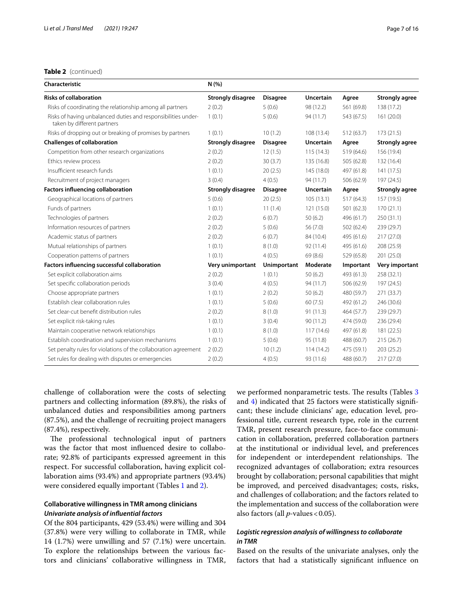## **Table 2** (continued)

| Characteristic                                                                               | N(% )                    |                 |                  |            |                       |
|----------------------------------------------------------------------------------------------|--------------------------|-----------------|------------------|------------|-----------------------|
| <b>Risks of collaboration</b>                                                                | <b>Strongly disagree</b> | <b>Disagree</b> | <b>Uncertain</b> | Agree      | <b>Strongly agree</b> |
| Risks of coordinating the relationship among all partners                                    | 2(0.2)                   | 5(0.6)          | 98 (12.2)        | 561 (69.8) | 138 (17.2)            |
| Risks of having unbalanced duties and responsibilities under-<br>taken by different partners | 1(0.1)                   | 5(0.6)          | 94 (11.7)        | 543 (67.5) | 161 (20.0)            |
| Risks of dropping out or breaking of promises by partners                                    | 1(0.1)                   | 10(1.2)         | 108 (13.4)       | 512(63.7)  | 173(21.5)             |
| <b>Challenges of collaboration</b>                                                           | <b>Strongly disagree</b> | <b>Disagree</b> | <b>Uncertain</b> | Agree      | <b>Strongly agree</b> |
| Competition from other research organizations                                                | 2(0.2)                   | 12(1.5)         | 115(14.3)        | 519 (64.6) | 156 (19.4)            |
| Ethics review process                                                                        | 2(0.2)                   | 30(3.7)         | 135 (16.8)       | 505 (62.8) | 132 (16.4)            |
| Insufficient research funds                                                                  | 1(0.1)                   | 20(2.5)         | 145(18.0)        | 497 (61.8) | 141 (17.5)            |
| Recruitment of project managers                                                              | 3(0.4)                   | 4(0.5)          | 94 (11.7)        | 506 (62.9) | 197 (24.5)            |
| <b>Factors influencing collaboration</b>                                                     | <b>Strongly disagree</b> | <b>Disagree</b> | <b>Uncertain</b> | Agree      | <b>Strongly agree</b> |
| Geographical locations of partners                                                           | 5(0.6)                   | 20(2.5)         | 105(13.1)        | 517(64.3)  | 157 (19.5)            |
| Funds of partners                                                                            | 1(0.1)                   | 11(1.4)         | 121(15.0)        | 501(62.3)  | 170(21.1)             |
| Technologies of partners                                                                     | 2(0.2)                   | 6(0.7)          | 50(6.2)          | 496 (61.7) | 250(31.1)             |
| Information resources of partners                                                            | 2(0.2)                   | 5(0.6)          | 56(7.0)          | 502 (62.4) | 239 (29.7)            |
| Academic status of partners                                                                  | 2(0.2)                   | 6(0.7)          | 84 (10.4)        | 495 (61.6) | 217(27.0)             |
| Mutual relationships of partners                                                             | 1(0.1)                   | 8(1.0)          | 92 (11.4)        | 495 (61.6) | 208 (25.9)            |
| Cooperation patterns of partners                                                             | 1(0.1)                   | 4(0.5)          | 69 (8.6)         | 529 (65.8) | 201 (25.0)            |
| Factors influencing successful collaboration                                                 | Very unimportant         | Unimportant     | Moderate         | Important  | Very important        |
| Set explicit collaboration aims                                                              | 2(0.2)                   | 1(0.1)          | 50(6.2)          | 493 (61.3) | 258 (32.1)            |
| Set specific collaboration periods                                                           | 3(0.4)                   | 4(0.5)          | 94(11.7)         | 506 (62.9) | 197 (24.5)            |
| Choose appropriate partners                                                                  | 1(0.1)                   | 2(0.2)          | 50(6.2)          | 480 (59.7) | 271 (33.7)            |
| Establish clear collaboration rules                                                          | 1(0.1)                   | 5(0.6)          | 60(7.5)          | 492 (61.2) | 246 (30.6)            |
| Set clear-cut benefit distribution rules                                                     | 2(0.2)                   | 8(1.0)          | 91(11.3)         | 464 (57.7) | 239 (29.7)            |
| Set explicit risk-taking rules                                                               | 1(0.1)                   | 3(0.4)          | 90(11.2)         | 474 (59.0) | 236 (29.4)            |
| Maintain cooperative network relationships                                                   | 1(0.1)                   | 8(1.0)          | 117(14.6)        | 497 (61.8) | 181 (22.5)            |
| Establish coordination and supervision mechanisms                                            | 1(0.1)                   | 5(0.6)          | 95 (11.8)        | 488 (60.7) | 215 (26.7)            |
| Set penalty rules for violations of the collaboration agreement                              | 2(0.2)                   | 10(1.2)         | 114(14.2)        | 475 (59.1) | 203 (25.2)            |
| Set rules for dealing with disputes or emergencies                                           | 2(0.2)                   | 4(0.5)          | 93 (11.6)        | 488 (60.7) | 217 (27.0)            |

challenge of collaboration were the costs of selecting partners and collecting information (89.8%), the risks of unbalanced duties and responsibilities among partners (87.5%), and the challenge of recruiting project managers (87.4%), respectively.

The professional technological input of partners was the factor that most infuenced desire to collaborate; 92.8% of participants expressed agreement in this respect. For successful collaboration, having explicit collaboration aims (93.4%) and appropriate partners (93.4%) were considered equally important (Tables [1](#page-3-0) and [2](#page-5-0)).

## **Collaborative willingness in TMR among clinicians** *Univariate analysis of infuential factors*

Of the 804 participants, 429 (53.4%) were willing and 304 (37.8%) were very willing to collaborate in TMR, while 14 (1.7%) were unwilling and 57 (7.1%) were uncertain. To explore the relationships between the various factors and clinicians' collaborative willingness in TMR, we performed nonparametric tests. The results (Tables [3](#page-7-0) and [4\)](#page-10-0) indicated that 25 factors were statistically signifcant; these include clinicians' age, education level, professional title, current research type, role in the current TMR, present research pressure, face-to-face communication in collaboration, preferred collaboration partners at the institutional or individual level, and preferences for independent or interdependent relationships. The recognized advantages of collaboration; extra resources brought by collaboration; personal capabilities that might be improved, and perceived disadvantages; costs, risks, and challenges of collaboration; and the factors related to the implementation and success of the collaboration were also factors (all *p*-values < 0.05).

## *Logistic regression analysis of willingness to collaborate in TMR*

Based on the results of the univariate analyses, only the factors that had a statistically signifcant infuence on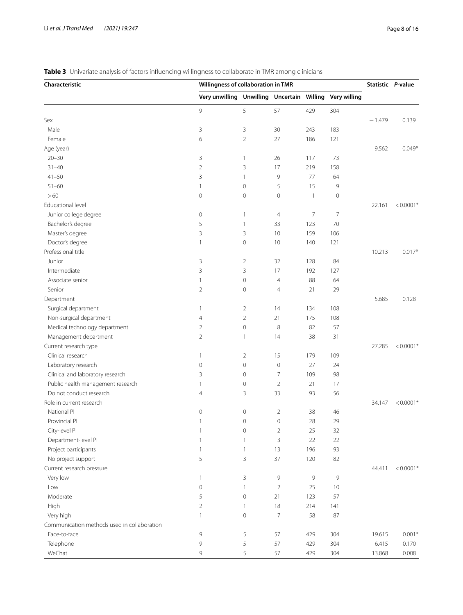## <span id="page-7-0"></span>**Table 3** Univariate analysis of factors influencing willingness to collaborate in TMR among clinicians

| Characteristic                              |                                                         | Willingness of collaboration in TMR |                |                |             |          | Statistic P-value |
|---------------------------------------------|---------------------------------------------------------|-------------------------------------|----------------|----------------|-------------|----------|-------------------|
|                                             | Very unwilling Unwilling Uncertain Willing Very willing |                                     |                |                |             |          |                   |
|                                             | 9                                                       | 5                                   | 57             | 429            | 304         |          |                   |
| Sex                                         |                                                         |                                     |                |                |             | $-1.479$ | 0.139             |
| Male                                        | 3                                                       | 3                                   | 30             | 243            | 183         |          |                   |
| Female                                      | 6                                                       | $\overline{2}$                      | 27             | 186            | 121         |          |                   |
| Age (year)                                  |                                                         |                                     |                |                |             | 9.562    | $0.049*$          |
| $20 - 30$                                   | 3                                                       | 1                                   | 26             | 117            | 73          |          |                   |
| $31 - 40$                                   | 2                                                       | 3                                   | 17             | 219            | 158         |          |                   |
| $41 - 50$                                   | 3                                                       | $\mathbf{1}$                        | 9              | 77             | 64          |          |                   |
| $51 - 60$                                   | 1                                                       | 0                                   | 5              | 15             | 9           |          |                   |
| >60                                         | $\mathsf{O}\xspace$                                     | $\circ$                             | $\circ$        | $\mathbf{1}$   | $\mathbf 0$ |          |                   |
| Educational level                           |                                                         |                                     |                |                |             | 22.161   | $< 0.0001*$       |
| Junior college degree                       | $\circ$                                                 | 1                                   | $\overline{4}$ | 7              | 7           |          |                   |
| Bachelor's degree                           | 5                                                       | $\mathbf{1}$                        | 33             | 123            | 70          |          |                   |
| Master's degree                             | 3                                                       | 3                                   | 10             | 159            | 106         |          |                   |
| Doctor's degree                             | 1                                                       | $\circ$                             | 10             | 140            | 121         |          |                   |
| Professional title                          |                                                         |                                     |                |                |             | 10.213   | $0.017*$          |
| Junior                                      | 3                                                       | 2                                   | 32             | 128            | 84          |          |                   |
| Intermediate                                | 3                                                       | 3                                   | 17             | 192            | 127         |          |                   |
| Associate senior                            | 1                                                       | 0                                   | $\overline{4}$ | 88             | 64          |          |                   |
| Senior                                      | 2                                                       | $\mathsf{O}\xspace$                 | 4              | 21             | 29          |          |                   |
| Department                                  |                                                         |                                     |                |                |             | 5.685    | 0.128             |
| Surgical department                         | 1                                                       | 2                                   | 14             | 134            | 108         |          |                   |
| Non-surgical department                     | 4                                                       | $\overline{2}$                      | 21             | 175            | 108         |          |                   |
| Medical technology department               | 2                                                       | $\circ$                             | 8              | 82             | 57          |          |                   |
| Management department                       | 2                                                       | $\mathbf{1}$                        | 14             | 38             | 31          |          |                   |
| Current research type                       |                                                         |                                     |                |                |             | 27.285   | $< 0.0001*$       |
| Clinical research                           |                                                         |                                     | 15             | 179            | 109         |          |                   |
|                                             | 1                                                       | $\overline{2}$                      |                |                |             |          |                   |
| Laboratory research                         | 0                                                       | $\mathsf{O}\xspace$                 | $\mathbf 0$    | 27             | 24          |          |                   |
| Clinical and laboratory research            | 3                                                       | $\mathsf{O}\xspace$                 | 7              | 109            | 98          |          |                   |
| Public health management research           | 1                                                       | $\mathsf{O}\xspace$                 | $\overline{2}$ | 21             | 17          |          |                   |
| Do not conduct research                     | 4                                                       | 3                                   | 33             | 93             | 56          |          |                   |
| Role in current research                    |                                                         |                                     |                |                |             | 34.147   | $< 0.0001*$       |
| National PI                                 | 0                                                       | $\mathbf 0$                         | $\overline{2}$ | 38             | 46          |          |                   |
| Provincial PI                               | 1                                                       | $\mathbf 0$                         | 0              | 28             | 29          |          |                   |
| City-level PI                               | $\mathbf{1}$                                            | $\mathbf 0$                         | $\overline{2}$ | 25             | 32          |          |                   |
| Department-level PI                         | $\mathbf{1}$                                            | $\mathbf{1}$                        | 3              | 22             | 22          |          |                   |
| Project participants                        | $\mathbf{1}$                                            | $\mathbf{1}$                        | 13             | 196            | 93          |          |                   |
| No project support                          | 5                                                       | 3                                   | 37             | 120            | 82          |          |                   |
| Current research pressure                   |                                                         |                                     |                |                |             | 44.411   | $< 0.0001*$       |
| Very low                                    | $\mathbf{1}$                                            | 3                                   | 9              | $\overline{9}$ | 9           |          |                   |
| Low                                         | $\mathbf 0$                                             | $\mathbf{1}$                        | $\overline{2}$ | 25             | $10$        |          |                   |
| Moderate                                    | 5                                                       | $\mathbf 0$                         | 21             | 123            | 57          |          |                   |
| High                                        | $\overline{2}$                                          | $\mathbf{1}$                        | 18             | 214            | 141         |          |                   |
| Very high                                   | 1                                                       | $\mathsf{O}\xspace$                 | $\overline{7}$ | 58             | 87          |          |                   |
| Communication methods used in collaboration |                                                         |                                     |                |                |             |          |                   |
| Face-to-face                                | 9                                                       | 5                                   | 57             | 429            | 304         | 19.615   | $0.001*$          |
| Telephone                                   | 9                                                       | 5                                   | 57             | 429            | 304         | 6.415    | 0.170             |
| WeChat                                      | 9                                                       | 5                                   | 57             | 429            | 304         | 13.868   | 0.008             |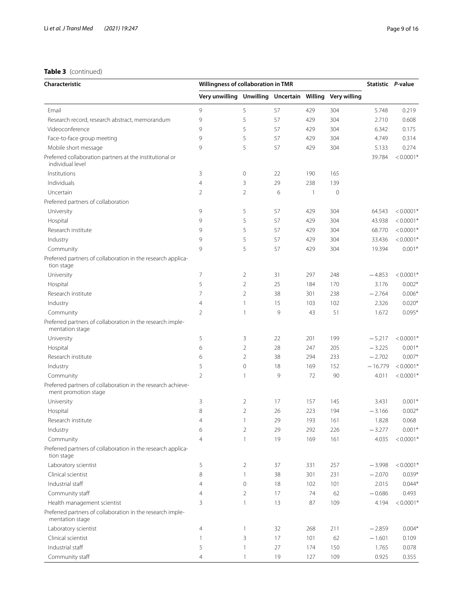## **Table 3** (continued)

| Characteristic                                                                       | Willingness of collaboration in TMR                     |                |    |              |             | Statistic P-value |             |
|--------------------------------------------------------------------------------------|---------------------------------------------------------|----------------|----|--------------|-------------|-------------------|-------------|
|                                                                                      | Very unwilling Unwilling Uncertain Willing Very willing |                |    |              |             |                   |             |
| Email                                                                                | 9                                                       | 5              | 57 | 429          | 304         | 5.748             | 0.219       |
| Research record, research abstract, memorandum                                       | 9                                                       | 5              | 57 | 429          | 304         | 2.710             | 0.608       |
| Videoconference                                                                      | 9                                                       | 5              | 57 | 429          | 304         | 6.342             | 0.175       |
| Face-to-face group meeting                                                           | 9                                                       | 5              | 57 | 429          | 304         | 4.749             | 0.314       |
| Mobile short message                                                                 | 9                                                       | 5              | 57 | 429          | 304         | 5.133             | 0.274       |
| Preferred collaboration partners at the institutional or<br>individual level         |                                                         |                |    |              |             | 39.784            | $< 0.0001*$ |
| Institutions                                                                         | 3                                                       | $\circ$        | 22 | 190          | 165         |                   |             |
| Individuals                                                                          | $\overline{4}$                                          | 3              | 29 | 238          | 139         |                   |             |
| Uncertain                                                                            | $\overline{2}$                                          | $\overline{2}$ | 6  | $\mathbf{1}$ | $\mathbf 0$ |                   |             |
| Preferred partners of collaboration                                                  |                                                         |                |    |              |             |                   |             |
| University                                                                           | 9                                                       | 5              | 57 | 429          | 304         | 64.543            | $< 0.0001*$ |
| Hospital                                                                             | 9                                                       | 5              | 57 | 429          | 304         | 43.938            | $< 0.0001*$ |
| Research institute                                                                   | 9                                                       | 5              | 57 | 429          | 304         | 68.770            | $< 0.0001*$ |
| Industry                                                                             | 9                                                       | 5              | 57 | 429          | 304         | 33.436            | $< 0.0001*$ |
| Community                                                                            | 9                                                       | 5              | 57 | 429          | 304         | 19.394            | $0.001*$    |
| Preferred partners of collaboration in the research applica-<br>tion stage           |                                                         |                |    |              |             |                   |             |
| University                                                                           | 7                                                       | $\overline{2}$ | 31 | 297          | 248         | $-4.853$          | $< 0.0001*$ |
| Hospital                                                                             | 5                                                       | $\overline{2}$ | 25 | 184          | 170         | 3.176             | $0.002*$    |
| Research institute                                                                   | 7                                                       | $\overline{2}$ | 38 | 301          | 238         | $-2.764$          | $0.006*$    |
| Industry                                                                             | $\overline{4}$                                          | 1              | 15 | 103          | 102         | 2.326             | $0.020*$    |
| Community                                                                            | $\overline{2}$                                          | 1              | 9  | 43           | 51          | 1.672             | $0.095*$    |
| Preferred partners of collaboration in the research imple-<br>mentation stage        |                                                         |                |    |              |             |                   |             |
| University                                                                           | 5                                                       | 3              | 22 | 201          | 199         | $-5.217$          | $< 0.0001*$ |
| Hospital                                                                             | 6                                                       | $\overline{2}$ | 28 | 247          | 205         | $-3.225$          | $0.001*$    |
| Research institute                                                                   | 6                                                       | $\overline{2}$ | 38 | 294          | 233         | $-2.702$          | $0.007*$    |
| Industry                                                                             | 5                                                       | $\mathbf 0$    | 18 | 169          | 152         | $-16.779$         | $< 0.0001*$ |
| Community                                                                            | $\overline{2}$                                          | 1              | 9  | 72           | 90          | 4.011             | $< 0.0001*$ |
| Preferred partners of collaboration in the research achieve-<br>ment promotion stage |                                                         |                |    |              |             |                   |             |
| University                                                                           | 3                                                       | $\overline{2}$ | 17 | 157          | 145         | 3.431             | $0.001*$    |
| Hospital                                                                             | 8                                                       | $\overline{2}$ | 26 | 223          | 194         | $-3.166$          | $0.002*$    |
| Research institute                                                                   | $\overline{4}$                                          | 1              | 29 | 193          | 161         | 1.828             | 0.068       |
| Industry                                                                             | 6                                                       | $\overline{c}$ | 29 | 292          | 226         | $-3.277$          | $0.001*$    |
| Community                                                                            | $\overline{4}$                                          | 1              | 19 | 169          | 161         | 4.035             | $< 0.0001*$ |
| Preferred partners of collaboration in the research applica-<br>tion stage           |                                                         |                |    |              |             |                   |             |
| Laboratory scientist                                                                 | 5                                                       | $\overline{2}$ | 37 | 331          | 257         | $-3.998$          | $< 0.0001*$ |
| Clinical scientist                                                                   | 8                                                       | 1              | 38 | 301          | 231         | $-2.070$          | $0.039*$    |
| Industrial staff                                                                     | 4                                                       | $\mathbf 0$    | 18 | 102          | 101         | 2.015             | $0.044*$    |
| Community staff                                                                      | 4                                                       | 2              | 17 | 74           | 62          | $-0.686$          | 0.493       |
| Health management scientist                                                          | 3                                                       | 1              | 13 | 87           | 109         | 4.194             | $< 0.0001*$ |
| Preferred partners of collaboration in the research imple-<br>mentation stage        |                                                         |                |    |              |             |                   |             |
| Laboratory scientist                                                                 | 4                                                       | 1              | 32 | 268          | 211         | $-2.859$          | $0.004*$    |
| Clinical scientist                                                                   | 1                                                       | 3              | 17 | 101          | 62          | $-1.601$          | 0.109       |
| Industrial staff                                                                     | 5                                                       | 1              | 27 | 174          | 150         | 1.765             | 0.078       |
| Community staff                                                                      | 4                                                       | 1              | 19 | 127          | 109         | 0.925             | 0.355       |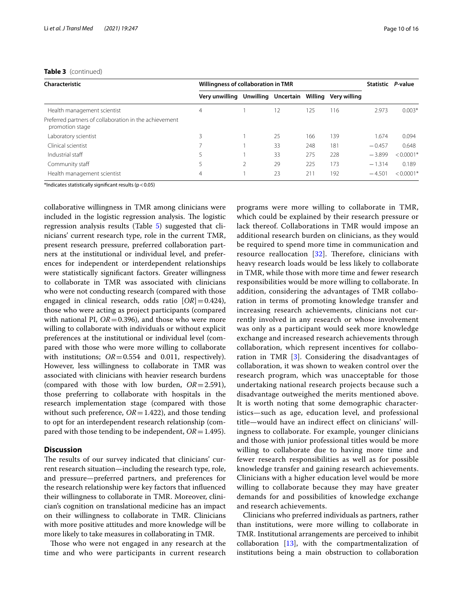#### **Table 3** (continued)

| Characteristic                                                            | Willingness of collaboration in TMR |  |                             |     |              |          | Statistic P-value |
|---------------------------------------------------------------------------|-------------------------------------|--|-----------------------------|-----|--------------|----------|-------------------|
|                                                                           | Very unwilling                      |  | Unwilling Uncertain Willing |     | Verv willing |          |                   |
| Health management scientist                                               | $\overline{4}$                      |  | 12                          | 125 | 116          | 2.973    | $0.003*$          |
| Preferred partners of collaboration in the achievement<br>promotion stage |                                     |  |                             |     |              |          |                   |
| Laboratory scientist                                                      | 3                                   |  | 25                          | 166 | 139          | 1.674    | 0.094             |
| Clinical scientist                                                        |                                     |  | 33                          | 248 | 181          | $-0.457$ | 0.648             |
| Industrial staff                                                          | 5                                   |  | 33                          | 275 | 228          | $-3.899$ | $< 0.0001*$       |
| Community staff                                                           |                                     |  | 29                          | 225 | 173          | $-1.314$ | 0.189             |
| Health management scientist                                               | 4                                   |  | 23                          | 211 | 192          | $-4.501$ | $< 0.0001*$       |

\*Indicates statistically signifcant results (p<0.05)

collaborative willingness in TMR among clinicians were included in the logistic regression analysis. The logistic regression analysis results (Table [5](#page-12-0)) suggested that clinicians' current research type, role in the current TMR, present research pressure, preferred collaboration partners at the institutional or individual level, and preferences for independent or interdependent relationships were statistically signifcant factors. Greater willingness to collaborate in TMR was associated with clinicians who were not conducting research (compared with those engaged in clinical research, odds ratio  $[OR] = 0.424$ ), those who were acting as project participants (compared with national PI,  $OR = 0.396$ ), and those who were more willing to collaborate with individuals or without explicit preferences at the institutional or individual level (compared with those who were more willing to collaborate with institutions;  $OR = 0.554$  and 0.011, respectively). However, less willingness to collaborate in TMR was associated with clinicians with heavier research burdens (compared with those with low burden, *OR*=2.591), those preferring to collaborate with hospitals in the research implementation stage (compared with those without such preference,  $OR = 1.422$ ), and those tending to opt for an interdependent research relationship (compared with those tending to be independent, *OR*=1.495).

## **Discussion**

The results of our survey indicated that clinicians' current research situation—including the research type, role, and pressure—preferred partners, and preferences for the research relationship were key factors that infuenced their willingness to collaborate in TMR. Moreover, clinician's cognition on translational medicine has an impact on their willingness to collaborate in TMR. Clinicians with more positive attitudes and more knowledge will be more likely to take measures in collaborating in TMR.

Those who were not engaged in any research at the time and who were participants in current research programs were more willing to collaborate in TMR, which could be explained by their research pressure or lack thereof. Collaborations in TMR would impose an additional research burden on clinicians, as they would be required to spend more time in communication and resource reallocation [[32](#page-15-15)]. Therefore, clinicians with heavy research loads would be less likely to collaborate in TMR, while those with more time and fewer research responsibilities would be more willing to collaborate. In addition, considering the advantages of TMR collaboration in terms of promoting knowledge transfer and increasing research achievements, clinicians not currently involved in any research or whose involvement was only as a participant would seek more knowledge exchange and increased research achievements through collaboration, which represent incentives for collaboration in TMR  $[3]$  $[3]$ . Considering the disadvantages of collaboration, it was shown to weaken control over the research program, which was unacceptable for those undertaking national research projects because such a disadvantage outweighed the merits mentioned above. It is worth noting that some demographic characteristics—such as age, education level, and professional title—would have an indirect efect on clinicians' willingness to collaborate. For example, younger clinicians and those with junior professional titles would be more willing to collaborate due to having more time and fewer research responsibilities as well as for possible knowledge transfer and gaining research achievements. Clinicians with a higher education level would be more willing to collaborate because they may have greater demands for and possibilities of knowledge exchange and research achievements.

Clinicians who preferred individuals as partners, rather than institutions, were more willing to collaborate in TMR. Institutional arrangements are perceived to inhibit collaboration [\[13](#page-14-10)], with the compartmentalization of institutions being a main obstruction to collaboration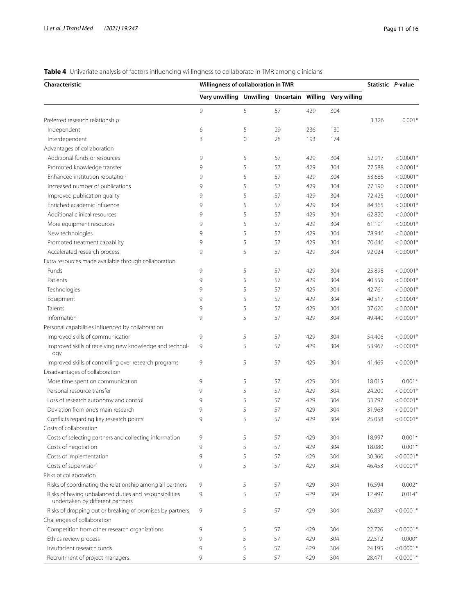## <span id="page-10-0"></span>**Table 4** Univariate analysis of factors infuencing willingness to collaborate in TMR among clinicians

| Characteristic                                                                             | Willingness of collaboration in TMR                     |             |    |     |     |        | Statistic P-value |
|--------------------------------------------------------------------------------------------|---------------------------------------------------------|-------------|----|-----|-----|--------|-------------------|
|                                                                                            | Very unwilling Unwilling Uncertain Willing Very willing |             |    |     |     |        |                   |
|                                                                                            | 9                                                       | 5           | 57 | 429 | 304 |        |                   |
| Preferred research relationship                                                            |                                                         |             |    |     |     | 3.326  | $0.001*$          |
| Independent                                                                                | 6                                                       | 5           | 29 | 236 | 130 |        |                   |
| Interdependent                                                                             | 3                                                       | $\mathbf 0$ | 28 | 193 | 174 |        |                   |
| Advantages of collaboration                                                                |                                                         |             |    |     |     |        |                   |
| Additional funds or resources                                                              | 9                                                       | 5           | 57 | 429 | 304 | 52.917 | $< 0.0001*$       |
| Promoted knowledge transfer                                                                | 9                                                       | 5           | 57 | 429 | 304 | 77.588 | $< 0.0001*$       |
| Enhanced institution reputation                                                            | 9                                                       | 5           | 57 | 429 | 304 | 53.686 | $< 0.0001*$       |
| Increased number of publications                                                           | 9                                                       | 5           | 57 | 429 | 304 | 77.190 | $< 0.0001*$       |
| Improved publication quality                                                               | 9                                                       | 5           | 57 | 429 | 304 | 72.425 | $< 0.0001*$       |
| Enriched academic influence                                                                | 9                                                       | 5           | 57 | 429 | 304 | 84.365 | $< 0.0001*$       |
| Additional clinical resources                                                              | 9                                                       | 5           | 57 | 429 | 304 | 62.820 | $< 0.0001*$       |
| More equipment resources                                                                   | 9                                                       | 5           | 57 | 429 | 304 | 61.191 | $< 0.0001*$       |
| New technologies                                                                           | 9                                                       | 5           | 57 | 429 | 304 | 78.946 | $< 0.0001*$       |
| Promoted treatment capability                                                              | 9                                                       | 5           | 57 | 429 | 304 | 70.646 | $< 0.0001*$       |
| Accelerated research process                                                               | 9                                                       | 5           | 57 | 429 | 304 | 92.024 | $< 0.0001*$       |
| Extra resources made available through collaboration                                       |                                                         |             |    |     |     |        |                   |
| Funds                                                                                      | 9                                                       | 5           | 57 | 429 | 304 | 25.898 | $< 0.0001*$       |
| Patients                                                                                   | 9                                                       | 5           | 57 | 429 | 304 | 40.559 | $< 0.0001*$       |
| Technologies                                                                               | 9                                                       | 5           | 57 | 429 | 304 | 42.761 | $< 0.0001*$       |
| Equipment                                                                                  | 9                                                       | 5           | 57 | 429 | 304 | 40.517 | $< 0.0001*$       |
| Talents                                                                                    | 9                                                       | 5           | 57 | 429 | 304 | 37.620 | $< 0.0001*$       |
| Information                                                                                | 9                                                       | 5           | 57 | 429 | 304 | 49.440 | $< 0.0001*$       |
|                                                                                            |                                                         |             |    |     |     |        |                   |
| Personal capabilities influenced by collaboration<br>Improved skills of communication      | 9                                                       | 5           | 57 |     | 304 |        | $< 0.0001*$       |
|                                                                                            | 9                                                       |             |    | 429 |     | 54.406 |                   |
| Improved skills of receiving new knowledge and technol-<br>ogy                             |                                                         | 5           | 57 | 429 | 304 | 53.967 | $< 0.0001*$       |
| Improved skills of controlling over research programs                                      | 9                                                       | 5           | 57 | 429 | 304 | 41.469 | $< 0.0001*$       |
| Disadvantages of collaboration                                                             |                                                         |             |    |     |     |        |                   |
| More time spent on communication                                                           | 9                                                       | 5           | 57 | 429 | 304 | 18.015 | $0.001*$          |
| Personal resource transfer                                                                 | 9                                                       | 5           | 57 | 429 | 304 | 24.200 | $< 0.0001*$       |
| Loss of research autonomy and control                                                      | 9                                                       | 5           | 57 | 429 | 304 | 33.797 | $< 0.0001*$       |
| Deviation from one's main research                                                         | 9                                                       | 5           | 57 | 429 | 304 | 31.963 | $< 0.0001*$       |
| Conflicts regarding key research points                                                    | 9                                                       | 5           | 57 | 429 | 304 | 25.058 | $< 0.0001*$       |
| Costs of collaboration                                                                     |                                                         |             |    |     |     |        |                   |
| Costs of selecting partners and collecting information                                     | 9                                                       | 5           | 57 | 429 | 304 | 18.997 | $0.001*$          |
| Costs of negotiation                                                                       | 9                                                       | 5           | 57 | 429 | 304 | 18.080 | $0.001*$          |
| Costs of implementation                                                                    | 9                                                       | 5           | 57 | 429 | 304 | 30.360 | $< 0.0001*$       |
| Costs of supervision                                                                       | 9                                                       | 5           | 57 | 429 | 304 | 46.453 | $< 0.0001*$       |
| Risks of collaboration                                                                     |                                                         |             |    |     |     |        |                   |
| Risks of coordinating the relationship among all partners                                  | 9                                                       | 5           | 57 | 429 | 304 | 16.594 | $0.002*$          |
| Risks of having unbalanced duties and responsibilities<br>undertaken by different partners | 9                                                       | 5           | 57 | 429 | 304 | 12.497 | $0.014*$          |
| Risks of dropping out or breaking of promises by partners                                  | 9                                                       | 5           | 57 | 429 | 304 | 26.837 | $< 0.0001*$       |
| Challenges of collaboration                                                                |                                                         |             |    |     |     |        |                   |
| Competition from other research organizations                                              | 9                                                       | 5           | 57 | 429 | 304 | 22.726 | $< 0.0001*$       |
| Ethics review process                                                                      | 9                                                       | 5           | 57 | 429 | 304 | 22.512 | $0.000*$          |
| Insufficient research funds                                                                | 9                                                       | 5           | 57 | 429 | 304 | 24.195 | $< 0.0001*$       |
| Recruitment of project managers                                                            | 9                                                       | 5           | 57 | 429 | 304 | 28.471 | $< 0.0001*$       |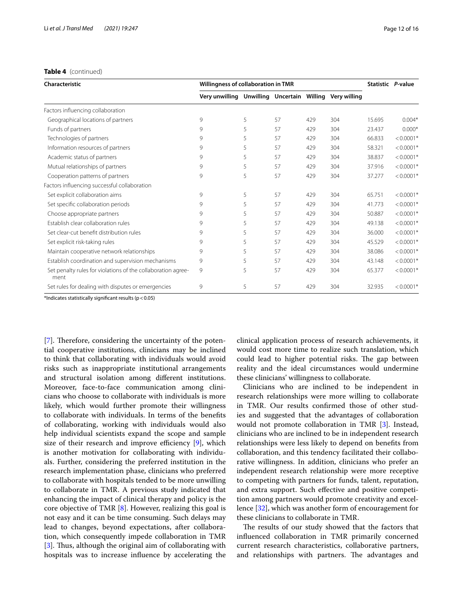## **Table 4** (continued)

| Characteristic                                                       | Willingness of collaboration in TMR        |   |    |     |              |        | Statistic P-value |
|----------------------------------------------------------------------|--------------------------------------------|---|----|-----|--------------|--------|-------------------|
|                                                                      | Very unwilling Unwilling Uncertain Willing |   |    |     | Verv willing |        |                   |
| Factors influencing collaboration                                    |                                            |   |    |     |              |        |                   |
| Geographical locations of partners                                   | 9                                          | 5 | 57 | 429 | 304          | 15.695 | $0.004*$          |
| Funds of partners                                                    | 9                                          | 5 | 57 | 429 | 304          | 23.437 | $0.000*$          |
| Technologies of partners                                             | 9                                          | 5 | 57 | 429 | 304          | 66.833 | $< 0.0001*$       |
| Information resources of partners                                    | 9                                          | 5 | 57 | 429 | 304          | 58.321 | $< 0.0001*$       |
| Academic status of partners                                          | 9                                          | 5 | 57 | 429 | 304          | 38.837 | $< 0.0001*$       |
| Mutual relationships of partners                                     | 9                                          | 5 | 57 | 429 | 304          | 37.916 | $< 0.0001*$       |
| Cooperation patterns of partners                                     | 9                                          | 5 | 57 | 429 | 304          | 37.277 | $< 0.0001*$       |
| Factors influencing successful collaboration                         |                                            |   |    |     |              |        |                   |
| Set explicit collaboration aims                                      | 9                                          | 5 | 57 | 429 | 304          | 65.751 | $< 0.0001*$       |
| Set specific collaboration periods                                   | 9                                          | 5 | 57 | 429 | 304          | 41.773 | $< 0.0001*$       |
| Choose appropriate partners                                          | 9                                          | 5 | 57 | 429 | 304          | 50.887 | $< 0.0001*$       |
| Establish clear collaboration rules                                  | 9                                          | 5 | 57 | 429 | 304          | 49.138 | $< 0.0001*$       |
| Set clear-cut benefit distribution rules                             | 9                                          | 5 | 57 | 429 | 304          | 36.000 | $< 0.0001*$       |
| Set explicit risk-taking rules                                       | 9                                          | 5 | 57 | 429 | 304          | 45.529 | $< 0.0001*$       |
| Maintain cooperative network relationships                           | 9                                          | 5 | 57 | 429 | 304          | 38.086 | $< 0.0001*$       |
| Establish coordination and supervision mechanisms                    | 9                                          | 5 | 57 | 429 | 304          | 43.148 | $< 0.0001*$       |
| Set penalty rules for violations of the collaboration agree-<br>ment | 9                                          | 5 | 57 | 429 | 304          | 65.377 | $< 0.0001*$       |
| Set rules for dealing with disputes or emergencies                   | 9                                          | 5 | 57 | 429 | 304          | 32.935 | $< 0.0001*$       |

\*Indicates statistically signifcant results (p<0.05)

[[7\]](#page-14-5). Therefore, considering the uncertainty of the potential cooperative institutions, clinicians may be inclined to think that collaborating with individuals would avoid risks such as inappropriate institutional arrangements and structural isolation among diferent institutions. Moreover, face-to-face communication among clinicians who choose to collaborate with individuals is more likely, which would further promote their willingness to collaborate with individuals. In terms of the benefts of collaborating, working with individuals would also help individual scientists expand the scope and sample size of their research and improve efficiency  $[9]$  $[9]$ , which is another motivation for collaborating with individuals. Further, considering the preferred institution in the research implementation phase, clinicians who preferred to collaborate with hospitals tended to be more unwilling to collaborate in TMR. A previous study indicated that enhancing the impact of clinical therapy and policy is the core objective of TMR [[8\]](#page-14-6). However, realizing this goal is not easy and it can be time consuming. Such delays may lead to changes, beyond expectations, after collaboration, which consequently impede collaboration in TMR [[3\]](#page-14-2). Thus, although the original aim of collaborating with hospitals was to increase infuence by accelerating the clinical application process of research achievements, it would cost more time to realize such translation, which could lead to higher potential risks. The gap between reality and the ideal circumstances would undermine these clinicians' willingness to collaborate.

Clinicians who are inclined to be independent in research relationships were more willing to collaborate in TMR. Our results confrmed those of other studies and suggested that the advantages of collaboration would not promote collaboration in TMR [[3\]](#page-14-2). Instead, clinicians who are inclined to be in independent research relationships were less likely to depend on benefts from collaboration, and this tendency facilitated their collaborative willingness. In addition, clinicians who prefer an independent research relationship were more receptive to competing with partners for funds, talent, reputation, and extra support. Such efective and positive competition among partners would promote creativity and excellence [[32](#page-15-15)], which was another form of encouragement for these clinicians to collaborate in TMR.

The results of our study showed that the factors that infuenced collaboration in TMR primarily concerned current research characteristics, collaborative partners, and relationships with partners. The advantages and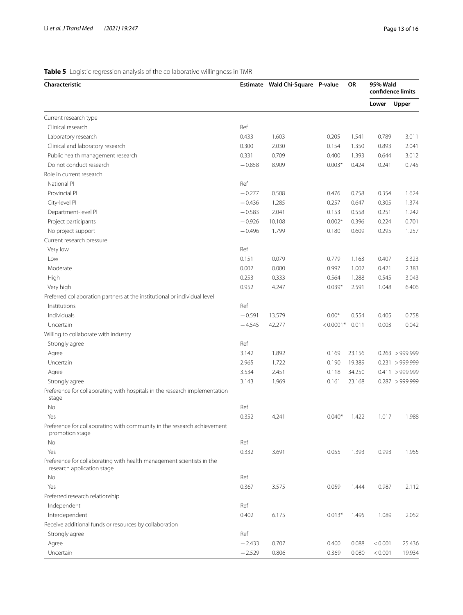## <span id="page-12-0"></span>**Table 5** Logistic regression analysis of the collaborative willingness in TMR

| Characteristic                                                                                      |          | Estimate Wald Chi-Square P-value |             | OR     | <b>95% Wald</b> | confidence limits |
|-----------------------------------------------------------------------------------------------------|----------|----------------------------------|-------------|--------|-----------------|-------------------|
|                                                                                                     |          |                                  |             |        | Lower           | Upper             |
| Current research type                                                                               |          |                                  |             |        |                 |                   |
| Clinical research                                                                                   | Ref      |                                  |             |        |                 |                   |
| Laboratory research                                                                                 | 0.433    | 1.603                            | 0.205       | 1.541  | 0.789           | 3.011             |
| Clinical and laboratory research                                                                    | 0.300    | 2.030                            | 0.154       | 1.350  | 0.893           | 2.041             |
| Public health management research                                                                   | 0.331    | 0.709                            | 0.400       | 1.393  | 0.644           | 3.012             |
| Do not conduct research                                                                             | $-0.858$ | 8.909                            | $0.003*$    | 0.424  | 0.241           | 0.745             |
| Role in current research                                                                            |          |                                  |             |        |                 |                   |
| National PI                                                                                         | Ref      |                                  |             |        |                 |                   |
| Provincial PI                                                                                       | $-0.277$ | 0.508                            | 0.476       | 0.758  | 0.354           | 1.624             |
| City-level PI                                                                                       | $-0.436$ | 1.285                            | 0.257       | 0.647  | 0.305           | 1.374             |
| Department-level PI                                                                                 | $-0.583$ | 2.041                            | 0.153       | 0.558  | 0.251           | 1.242             |
| Project participants                                                                                | $-0.926$ | 10.108                           | $0.002*$    | 0.396  | 0.224           | 0.701             |
| No project support                                                                                  | $-0.496$ | 1.799                            | 0.180       | 0.609  | 0.295           | 1.257             |
| Current research pressure                                                                           |          |                                  |             |        |                 |                   |
| Very low                                                                                            | Ref      |                                  |             |        |                 |                   |
| Low                                                                                                 | 0.151    | 0.079                            | 0.779       | 1.163  | 0.407           | 3.323             |
| Moderate                                                                                            | 0.002    | 0.000                            | 0.997       | 1.002  | 0.421           | 2.383             |
| High                                                                                                | 0.253    | 0.333                            | 0.564       | 1.288  | 0.545           | 3.043             |
| Very high                                                                                           | 0.952    | 4.247                            | $0.039*$    | 2.591  | 1.048           | 6.406             |
| Preferred collaboration partners at the institutional or individual level                           |          |                                  |             |        |                 |                   |
| Institutions                                                                                        | Ref      |                                  |             |        |                 |                   |
| Individuals                                                                                         | $-0.591$ | 13.579                           | $0.00*$     | 0.554  | 0.405           | 0.758             |
| Uncertain                                                                                           | $-4.545$ | 42.277                           | $< 0.0001*$ | 0.011  | 0.003           | 0.042             |
| Willing to collaborate with industry                                                                |          |                                  |             |        |                 |                   |
| Strongly agree                                                                                      | Ref      |                                  |             |        |                 |                   |
| Agree                                                                                               | 3.142    | 1.892                            | 0.169       | 23.156 |                 | $0.263$ > 999.999 |
| Uncertain                                                                                           | 2.965    | 1.722                            | 0.190       | 19.389 |                 | 0.231 > 999.999   |
| Agree                                                                                               | 3.534    | 2.451                            | 0.118       | 34.250 |                 | 0.411 > 999.999   |
| Strongly agree                                                                                      | 3.143    | 1.969                            | 0.161       | 23.168 |                 | 0.287 > 999.999   |
| Preference for collaborating with hospitals in the research implementation<br>stage                 |          |                                  |             |        |                 |                   |
| No                                                                                                  | Ref      |                                  |             |        |                 |                   |
| Yes                                                                                                 | 0.352    | 4.241                            | $0.040*$    | 1.422  | 1.017           | 1.988             |
| Preference for collaborating with community in the research achievement<br>promotion stage          |          |                                  |             |        |                 |                   |
| No                                                                                                  | Ref      |                                  |             |        |                 |                   |
| Yes                                                                                                 | 0.332    | 3.691                            | 0.055       | 1.393  | 0.993           | 1.955             |
| Preference for collaborating with health management scientists in the<br>research application stage |          |                                  |             |        |                 |                   |
| No                                                                                                  | Ref      |                                  |             |        |                 |                   |
| Yes                                                                                                 | 0.367    | 3.575                            | 0.059       | 1.444  | 0.987           | 2.112             |
| Preferred research relationship                                                                     |          |                                  |             |        |                 |                   |
| Independent                                                                                         | Ref      |                                  |             |        |                 |                   |
| Interdependent                                                                                      | 0.402    | 6.175                            | $0.013*$    | 1.495  | 1.089           | 2.052             |
| Receive additional funds or resources by collaboration                                              |          |                                  |             |        |                 |                   |
| Strongly agree                                                                                      | Ref      |                                  |             |        |                 |                   |
| Agree                                                                                               | $-2.433$ | 0.707                            | 0.400       | 0.088  | < 0.001         | 25.436            |
| Uncertain                                                                                           | $-2.529$ | 0.806                            | 0.369       | 0.080  | < 0.001         | 19.934            |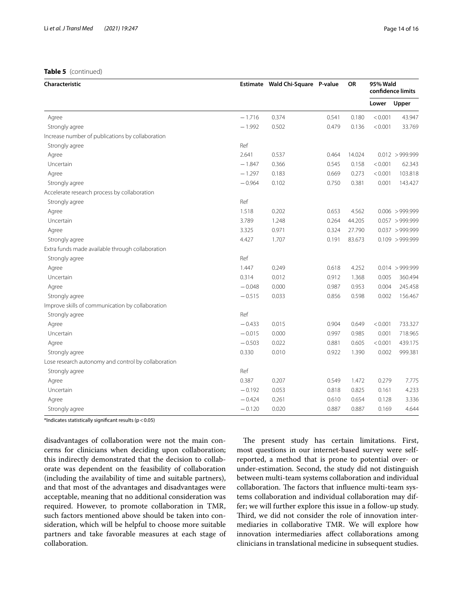## **Table 5** (continued)

| <b>Characteristic</b>                               |          | Estimate Wald Chi-Square P-value |       | <b>OR</b> | 95% Wald | confidence limits |
|-----------------------------------------------------|----------|----------------------------------|-------|-----------|----------|-------------------|
|                                                     |          |                                  |       |           | Lower    | Upper             |
| Agree                                               | $-1.716$ | 0.374                            | 0.541 | 0.180     | < 0.001  | 43.947            |
| Strongly agree                                      | $-1.992$ | 0.502                            | 0.479 | 0.136     | < 0.001  | 33.769            |
| Increase number of publications by collaboration    |          |                                  |       |           |          |                   |
| Strongly agree                                      | Ref      |                                  |       |           |          |                   |
| Agree                                               | 2.641    | 0.537                            | 0.464 | 14.024    |          | $0.012$ > 999.999 |
| Uncertain                                           | $-1.847$ | 0.366                            | 0.545 | 0.158     | < 0.001  | 62.343            |
| Agree                                               | $-1.297$ | 0.183                            | 0.669 | 0.273     | < 0.001  | 103.818           |
| Strongly agree                                      | $-0.964$ | 0.102                            | 0.750 | 0.381     | 0.001    | 143.427           |
| Accelerate research process by collaboration        |          |                                  |       |           |          |                   |
| Strongly agree                                      | Ref      |                                  |       |           |          |                   |
| Agree                                               | 1.518    | 0.202                            | 0.653 | 4.562     |          | 0.006 > 999.999   |
| Uncertain                                           | 3.789    | 1.248                            | 0.264 | 44.205    |          | 0.057 > 999.999   |
| Agree                                               | 3.325    | 0.971                            | 0.324 | 27.790    |          | $0.037$ > 999.999 |
| Strongly agree                                      | 4.427    | 1.707                            | 0.191 | 83.673    |          | 0.109 > 999.999   |
| Extra funds made available through collaboration    |          |                                  |       |           |          |                   |
| Strongly agree                                      | Ref      |                                  |       |           |          |                   |
| Agree                                               | 1.447    | 0.249                            | 0.618 | 4.252     |          | $0.014$ > 999.999 |
| Uncertain                                           | 0.314    | 0.012                            | 0.912 | 1.368     | 0.005    | 360.494           |
| Agree                                               | $-0.048$ | 0.000                            | 0.987 | 0.953     | 0.004    | 245.458           |
| Strongly agree                                      | $-0.515$ | 0.033                            | 0.856 | 0.598     | 0.002    | 156.467           |
| Improve skills of communication by collaboration    |          |                                  |       |           |          |                   |
| Strongly agree                                      | Ref      |                                  |       |           |          |                   |
| Agree                                               | $-0.433$ | 0.015                            | 0.904 | 0.649     | < 0.001  | 733.327           |
| Uncertain                                           | $-0.015$ | 0.000                            | 0.997 | 0.985     | 0.001    | 718.965           |
| Agree                                               | $-0.503$ | 0.022                            | 0.881 | 0.605     | < 0.001  | 439.175           |
| Strongly agree                                      | 0.330    | 0.010                            | 0.922 | 1.390     | 0.002    | 999.381           |
| Lose research autonomy and control by collaboration |          |                                  |       |           |          |                   |
| Strongly agree                                      | Ref      |                                  |       |           |          |                   |
| Agree                                               | 0.387    | 0.207                            | 0.549 | 1.472     | 0.279    | 7.775             |
| Uncertain                                           | $-0.192$ | 0.053                            | 0.818 | 0.825     | 0.161    | 4.233             |
| Agree                                               | $-0.424$ | 0.261                            | 0.610 | 0.654     | 0.128    | 3.336             |
| Strongly agree                                      | $-0.120$ | 0.020                            | 0.887 | 0.887     | 0.169    | 4.644             |

\*Indicates statistically significant results ( $p < 0.05$ )

disadvantages of collaboration were not the main concerns for clinicians when deciding upon collaboration; this indirectly demonstrated that the decision to collaborate was dependent on the feasibility of collaboration (including the availability of time and suitable partners), and that most of the advantages and disadvantages were acceptable, meaning that no additional consideration was required. However, to promote collaboration in TMR, such factors mentioned above should be taken into consideration, which will be helpful to choose more suitable partners and take favorable measures at each stage of collaboration.

The present study has certain limitations. First, most questions in our internet-based survey were selfreported, a method that is prone to potential over- or under-estimation. Second, the study did not distinguish between multi-team systems collaboration and individual collaboration. The factors that influence multi-team systems collaboration and individual collaboration may differ; we will further explore this issue in a follow-up study. Third, we did not consider the role of innovation intermediaries in collaborative TMR. We will explore how innovation intermediaries afect collaborations among clinicians in translational medicine in subsequent studies.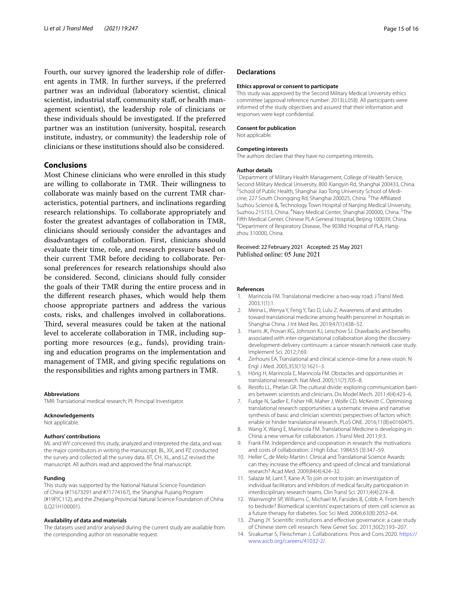Fourth, our survey ignored the leadership role of diferent agents in TMR. In further surveys, if the preferred partner was an individual (laboratory scientist, clinical scientist, industrial staf, community staf, or health management scientist), the leadership role of clinicians or these individuals should be investigated. If the preferred partner was an institution (university, hospital, research institute, industry, or community) the leadership role of clinicians or these institutions should also be considered.

#### **Conclusions**

Most Chinese clinicians who were enrolled in this study are willing to collaborate in TMR. Their willingness to collaborate was mainly based on the current TMR characteristics, potential partners, and inclinations regarding research relationships. To collaborate appropriately and foster the greatest advantages of collaboration in TMR, clinicians should seriously consider the advantages and disadvantages of collaboration. First, clinicians should evaluate their time, role, and research pressure based on their current TMR before deciding to collaborate. Personal preferences for research relationships should also be considered. Second, clinicians should fully consider the goals of their TMR during the entire process and in the diferent research phases, which would help them choose appropriate partners and address the various costs, risks, and challenges involved in collaborations. Third, several measures could be taken at the national level to accelerate collaboration in TMR, including supporting more resources (e.g., funds), providing training and education programs on the implementation and management of TMR, and giving specifc regulations on the responsibilities and rights among partners in TMR.

#### **Abbreviations**

TMR: Translational medical research; PI: Principal Investigator.

#### **Acknowledgements**

Not applicable.

#### **Authors' contributions**

ML and WY conceived this study, analyzed and interpreted the data, and was the major contributors in writing the manuscript. BL, XX, and PZ conducted the survey and collected all the survey data. BT, CH, XL, and LZ revised the manuscript. All authors read and approved the fnal manuscript.

#### **Funding**

This study was supported by the National Natural Science Foundation of China (#71673291 and #71774167), the Shanghai Pujiang Program (#19PJC112), and the Zhejiang Provincial Natural Science Foundation of China (LQ21H100001).

#### **Availability of data and materials**

The datasets used and/or analysed during the current study are available from the corresponding author on reasonable request.

#### **Declarations**

#### **Ethics approval or consent to participate**

This study was approved by the Second Military Medical University ethics committee (approval reference number: 2013LL058). All participants were informed of the study objectives and assured that their information and responses were kept confdential.

#### **Consent for publication**

Not applicable.

#### **Competing interests**

The authors declare that they have no competing interests.

#### **Author details**

<sup>1</sup> Department of Military Health Management, College of Health Service, Second Military Medical University, 800 Xiangyin Rd, Shanghai 200433, China. <sup>2</sup> School of Public Health, Shanghai Jiao Tong University School of Medicine, 227 South Chongqing Rd, Shanghai 200025, China. <sup>3</sup>The Affiliated Suzhou Science &, Technology Town Hospital of Nanjing Medical University, Suzhou 215153, China. <sup>4</sup>Navy Medical Center, Shanghai 200000, China. <sup>5</sup>The Fifth Medical Center, Chinese PLA General Hospital, Beijing 100039, China. 6 <sup>6</sup>Department of Respiratory Disease, The 903Rd Hospital of PLA, Hangzhou 310000, China.

Received: 22 February 2021 Accepted: 25 May 2021 Published online: 05 June 2021

#### **References**

- <span id="page-14-0"></span>Marincola FM. Translational medicine: a two-way road. J Transl Med. 2003;1(1):1.
- <span id="page-14-1"></span>2. Meina L, Wenya Y, Feng Y, Tao D, Lulu Z. Awareness of and attitudes toward translational medicine among health personnel in hospitals in Shanghai China. J Int Med Res. 2019;47(1):438–52.
- <span id="page-14-2"></span>3. Harris JK, Provan KG, Johnson KJ, Leischow SJ. Drawbacks and benefts associated with inter-organizational collaboration along the discoverydevelopment-delivery continuum: a cancer research network case study. Implement Sci. 2012;7:69.
- <span id="page-14-3"></span>4. Zerhouni EA. Translational and clinical science–time for a new vision. N Engl J Med. 2005;353(15):1621–3.
- 5. Hörig H, Marincola E, Marincola FM. Obstacles and opportunities in translational research. Nat Med. 2005;11(7):705–8.
- <span id="page-14-4"></span>6. Restifo LL, Phelan GR. The cultural divide: exploring communication barriers between scientists and clinicians. Dis Model Mech. 2011;4(4):423–6.
- <span id="page-14-5"></span>7. Fudge N, Sadler E, Fisher HR, Maher J, Wolfe CD, McKevitt C. Optimising translational research opportunities: a systematic review and narrative synthesis of basic and clinician scientists' perspectives of factors which enable or hinder translational research. PLoS ONE. 2016;11(8):e0160475.
- <span id="page-14-6"></span>8. Wang X, Wang E, Marincola FM. Translational Medicine is developing in China: a new venue for collaboration. J Transl Med. 2011;9:3.
- <span id="page-14-7"></span>9. Frank FM. Independence and cooperation in research: the motivations and costs of collaboration. J High Educ. 1984;55 (3):347–59.
- <span id="page-14-8"></span>10. Heller C, de Melo-Martín I. Clinical and Translational Science Awards: can they increase the efficiency and speed of clinical and translational research? Acad Med. 2009;84(4):424–32.
- 11. Salazar M, Lant T, Kane A. To join or not to join: an investigation of individual facilitators and inhibitors of medical faculty participation in interdisciplinary research teams. Clin Transl Sci. 2011;4(4):274–8.
- 12. Wainwright SP, Williams C, Michael M, Farsides B, Cribb A. From bench to bedside? Biomedical scientists' expectations of stem cell science as a future therapy for diabetes. Soc Sci Med. 2006;63(8):2052–64.
- <span id="page-14-10"></span>13. Zhang JY. Scientifc institutions and efective governance: a case study of Chinese stem cell research. New Genet Soc. 2011;30(2):193–207.
- <span id="page-14-9"></span>14. Sivakumar S, Fleischman J. Collaborations: Pros and Cons 2020. [https://](https://www.ascb.org/careers/41032-2/) [www.ascb.org/careers/41032-2/.](https://www.ascb.org/careers/41032-2/)